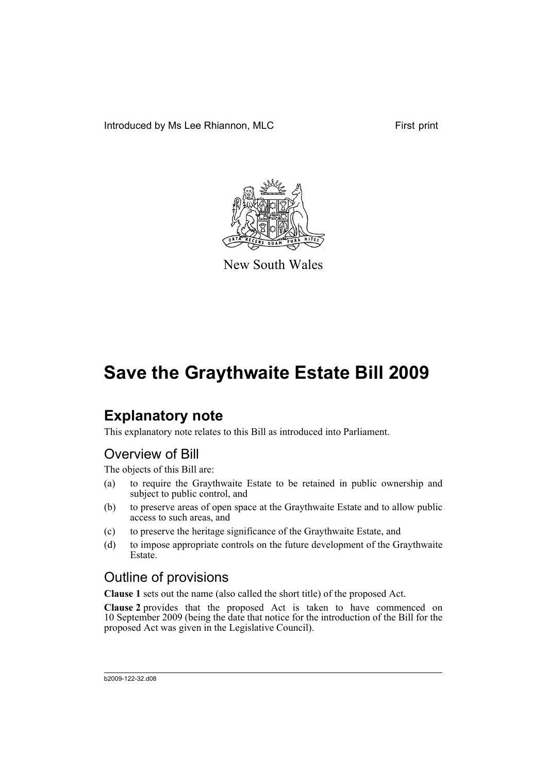Introduced by Ms Lee Rhiannon, MLC First print



New South Wales

# **Save the Graythwaite Estate Bill 2009**

# **Explanatory note**

This explanatory note relates to this Bill as introduced into Parliament.

### Overview of Bill

The objects of this Bill are:

- (a) to require the Graythwaite Estate to be retained in public ownership and subject to public control, and
- (b) to preserve areas of open space at the Graythwaite Estate and to allow public access to such areas, and
- (c) to preserve the heritage significance of the Graythwaite Estate, and
- (d) to impose appropriate controls on the future development of the Graythwaite **Estate**

## Outline of provisions

**Clause 1** sets out the name (also called the short title) of the proposed Act.

**Clause 2** provides that the proposed Act is taken to have commenced on 10 September 2009 (being the date that notice for the introduction of the Bill for the proposed Act was given in the Legislative Council).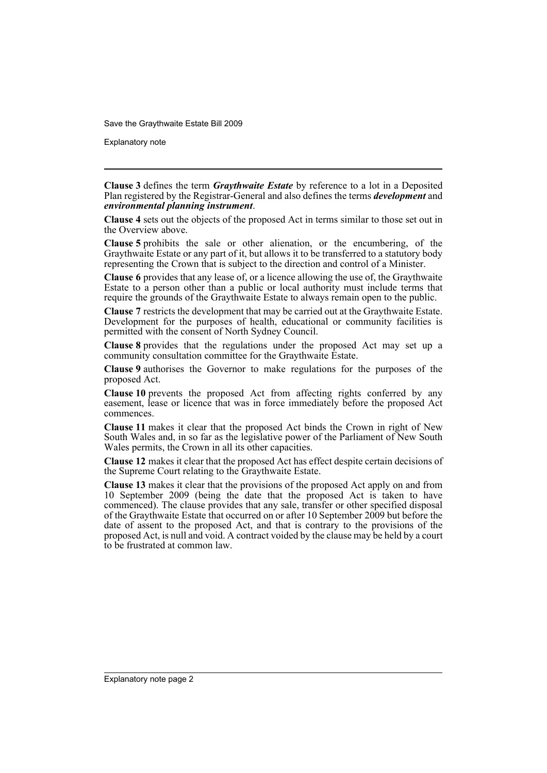Save the Graythwaite Estate Bill 2009

Explanatory note

**Clause 3** defines the term *Graythwaite Estate* by reference to a lot in a Deposited Plan registered by the Registrar-General and also defines the terms *development* and *environmental planning instrument*.

**Clause 4** sets out the objects of the proposed Act in terms similar to those set out in the Overview above.

**Clause 5** prohibits the sale or other alienation, or the encumbering, of the Graythwaite Estate or any part of it, but allows it to be transferred to a statutory body representing the Crown that is subject to the direction and control of a Minister.

**Clause 6** provides that any lease of, or a licence allowing the use of, the Graythwaite Estate to a person other than a public or local authority must include terms that require the grounds of the Graythwaite Estate to always remain open to the public.

**Clause 7** restricts the development that may be carried out at the Graythwaite Estate. Development for the purposes of health, educational or community facilities is permitted with the consent of North Sydney Council.

**Clause 8** provides that the regulations under the proposed Act may set up a community consultation committee for the Graythwaite Estate.

**Clause 9** authorises the Governor to make regulations for the purposes of the proposed Act.

**Clause 10** prevents the proposed Act from affecting rights conferred by any easement, lease or licence that was in force immediately before the proposed Act commences.

**Clause 11** makes it clear that the proposed Act binds the Crown in right of New South Wales and, in so far as the legislative power of the Parliament of New South Wales permits, the Crown in all its other capacities.

**Clause 12** makes it clear that the proposed Act has effect despite certain decisions of the Supreme Court relating to the Graythwaite Estate.

**Clause 13** makes it clear that the provisions of the proposed Act apply on and from 10 September 2009 (being the date that the proposed Act is taken to have commenced). The clause provides that any sale, transfer or other specified disposal of the Graythwaite Estate that occurred on or after 10 September 2009 but before the date of assent to the proposed Act, and that is contrary to the provisions of the proposed Act, is null and void. A contract voided by the clause may be held by a court to be frustrated at common law.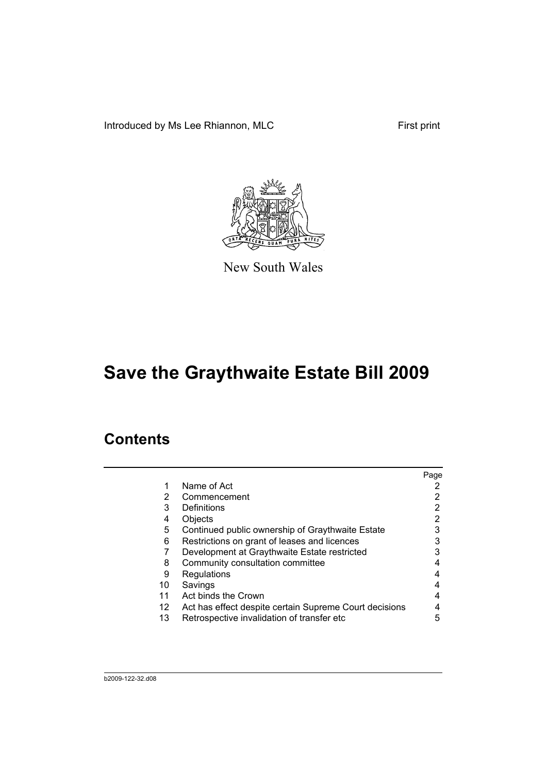Introduced by Ms Lee Rhiannon, MLC First print



New South Wales

# **Save the Graythwaite Estate Bill 2009**

## **Contents**

|                                                        | Page |
|--------------------------------------------------------|------|
| Name of Act                                            |      |
| Commencement                                           | 2    |
| Definitions                                            |      |
| Objects                                                |      |
| Continued public ownership of Graythwaite Estate       | 3    |
| Restrictions on grant of leases and licences           |      |
| Development at Graythwaite Estate restricted           |      |
| Community consultation committee                       |      |
| Regulations                                            |      |
| Savings                                                |      |
| Act binds the Crown                                    |      |
| Act has effect despite certain Supreme Court decisions |      |
| Retrospective invalidation of transfer etc             | 5    |
|                                                        |      |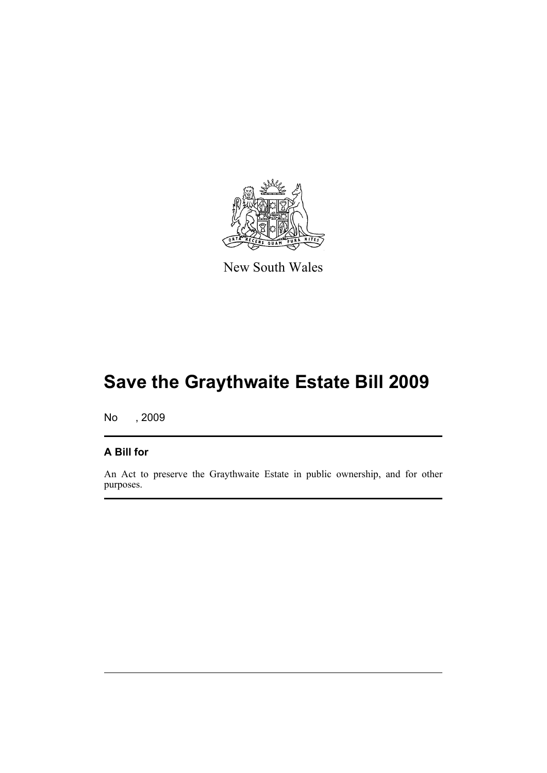

New South Wales

# **Save the Graythwaite Estate Bill 2009**

No , 2009

### **A Bill for**

An Act to preserve the Graythwaite Estate in public ownership, and for other purposes.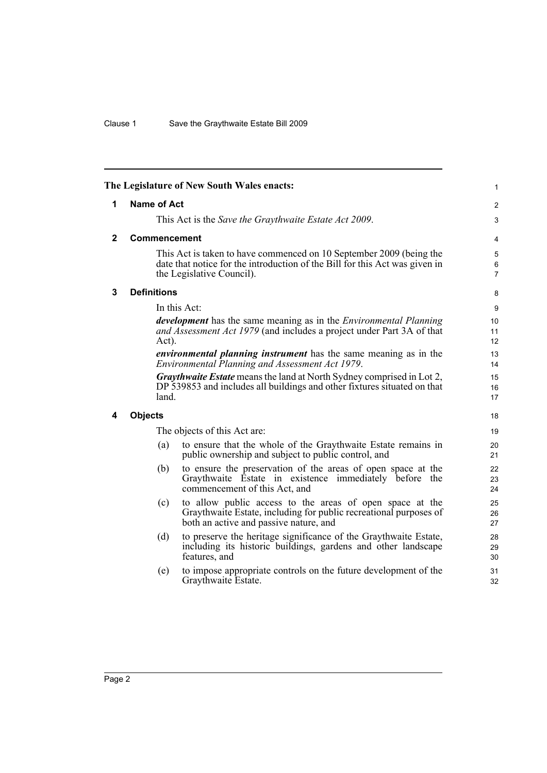<span id="page-5-3"></span><span id="page-5-2"></span><span id="page-5-1"></span><span id="page-5-0"></span>

|              |                    | The Legislature of New South Wales enacts:                                                                                                                                      | 1                        |
|--------------|--------------------|---------------------------------------------------------------------------------------------------------------------------------------------------------------------------------|--------------------------|
| 1            | <b>Name of Act</b> |                                                                                                                                                                                 | 2                        |
|              |                    | This Act is the Save the Graythwaite Estate Act 2009.                                                                                                                           | $\mathfrak{S}$           |
| $\mathbf{2}$ | Commencement       |                                                                                                                                                                                 | 4                        |
|              |                    | This Act is taken to have commenced on 10 September 2009 (being the<br>date that notice for the introduction of the Bill for this Act was given in<br>the Legislative Council). | 5<br>6<br>$\overline{7}$ |
| 3            | <b>Definitions</b> |                                                                                                                                                                                 | 8                        |
|              |                    | In this Act:                                                                                                                                                                    | 9                        |
|              | Act).              | <i>development</i> has the same meaning as in the <i>Environmental Planning</i><br>and Assessment Act 1979 (and includes a project under Part 3A of that                        | 10<br>11<br>12           |
|              |                    | <i>environmental planning instrument</i> has the same meaning as in the<br>Environmental Planning and Assessment Act 1979.                                                      | 13<br>14                 |
|              | land.              | <b>Graythwaite Estate</b> means the land at North Sydney comprised in Lot 2,<br>DP 539853 and includes all buildings and other fixtures situated on that                        | 15<br>16<br>17           |
| 4            | <b>Objects</b>     |                                                                                                                                                                                 | 18                       |
|              |                    | The objects of this Act are:                                                                                                                                                    | 19                       |
|              | (a)                | to ensure that the whole of the Graythwaite Estate remains in<br>public ownership and subject to public control, and                                                            | 20<br>21                 |
|              | (b)                | to ensure the preservation of the areas of open space at the<br>Graythwaite Estate in existence immediately before the<br>commencement of this Act, and                         | 22<br>23<br>24           |
|              | (c)                | to allow public access to the areas of open space at the<br>Graythwaite Estate, including for public recreational purposes of<br>both an active and passive nature, and         | 25<br>26<br>27           |
|              | (d)                | to preserve the heritage significance of the Graythwaite Estate,<br>including its historic buildings, gardens and other landscape<br>features, and                              | 28<br>29<br>30           |
|              | (e)                | to impose appropriate controls on the future development of the<br>Graythwaite Estate.                                                                                          | 31<br>32                 |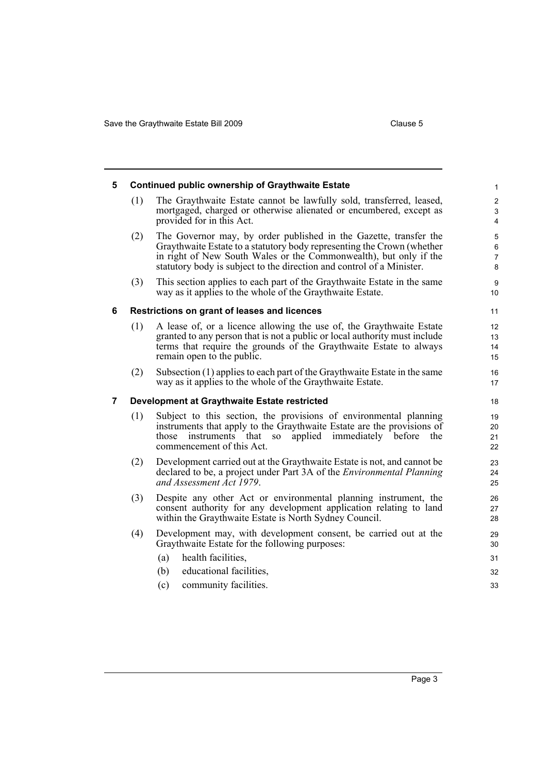<span id="page-6-2"></span><span id="page-6-1"></span><span id="page-6-0"></span>

| 5 |                                                                                                                           | <b>Continued public ownership of Graythwaite Estate</b>                                                                                                                                                                                                                                   | $\mathbf{1}$                                   |
|---|---------------------------------------------------------------------------------------------------------------------------|-------------------------------------------------------------------------------------------------------------------------------------------------------------------------------------------------------------------------------------------------------------------------------------------|------------------------------------------------|
|   | (1)                                                                                                                       | The Graythwaite Estate cannot be lawfully sold, transferred, leased,<br>mortgaged, charged or otherwise alienated or encumbered, except as<br>provided for in this Act.                                                                                                                   | $\overline{\mathbf{c}}$<br>3<br>$\overline{4}$ |
|   | (2)                                                                                                                       | The Governor may, by order published in the Gazette, transfer the<br>Graythwaite Estate to a statutory body representing the Crown (whether<br>in right of New South Wales or the Commonwealth), but only if the<br>statutory body is subject to the direction and control of a Minister. | 5<br>6<br>7<br>8                               |
|   | (3)                                                                                                                       | This section applies to each part of the Graythwaite Estate in the same<br>way as it applies to the whole of the Graythwaite Estate.                                                                                                                                                      | $\boldsymbol{9}$<br>10                         |
| 6 |                                                                                                                           | Restrictions on grant of leases and licences                                                                                                                                                                                                                                              | 11                                             |
|   | (1)                                                                                                                       | A lease of, or a licence allowing the use of, the Graythwaite Estate<br>granted to any person that is not a public or local authority must include<br>terms that require the grounds of the Graythwaite Estate to always<br>remain open to the public.                                    | 12<br>13<br>14<br>15                           |
|   | (2)                                                                                                                       | Subsection (1) applies to each part of the Graythwaite Estate in the same<br>way as it applies to the whole of the Graythwaite Estate.                                                                                                                                                    | 16<br>17                                       |
| 7 |                                                                                                                           | Development at Graythwaite Estate restricted                                                                                                                                                                                                                                              | 18                                             |
|   | (1)                                                                                                                       | Subject to this section, the provisions of environmental planning<br>instruments that apply to the Graythwaite Estate are the provisions of<br>instruments that so<br>applied immediately before<br>the<br>those<br>commencement of this Act.                                             | 19<br>20<br>21<br>22                           |
|   | (2)                                                                                                                       | Development carried out at the Graythwaite Estate is not, and cannot be<br>declared to be, a project under Part 3A of the <i>Environmental Planning</i><br>and Assessment Act 1979.                                                                                                       | 23<br>24<br>25                                 |
|   | (3)                                                                                                                       | Despite any other Act or environmental planning instrument, the<br>consent authority for any development application relating to land<br>within the Graythwaite Estate is North Sydney Council.                                                                                           | 26<br>27<br>28                                 |
|   | Development may, with development consent, be carried out at the<br>(4)<br>Graythwaite Estate for the following purposes: |                                                                                                                                                                                                                                                                                           | 29<br>30                                       |
|   |                                                                                                                           | health facilities,<br>(a)                                                                                                                                                                                                                                                                 | 31                                             |
|   |                                                                                                                           | educational facilities,<br>(b)                                                                                                                                                                                                                                                            | 32                                             |
|   |                                                                                                                           | community facilities.<br>(c)                                                                                                                                                                                                                                                              | 33                                             |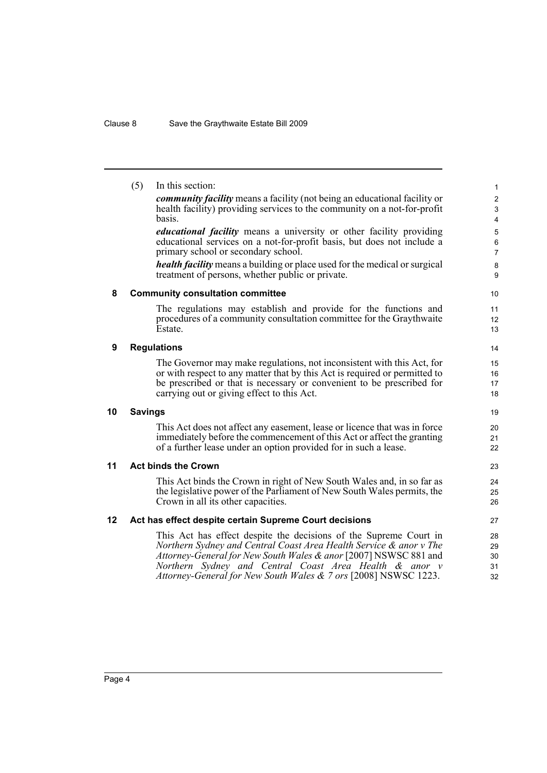<span id="page-7-4"></span><span id="page-7-3"></span><span id="page-7-2"></span><span id="page-7-1"></span><span id="page-7-0"></span>

|    | (5)            | In this section:                                                                                                                                                                                                                                                                                                                         | 1                                                       |
|----|----------------|------------------------------------------------------------------------------------------------------------------------------------------------------------------------------------------------------------------------------------------------------------------------------------------------------------------------------------------|---------------------------------------------------------|
|    |                | <i>community facility</i> means a facility (not being an educational facility or<br>health facility) providing services to the community on a not-for-profit<br>basis.                                                                                                                                                                   | $\overline{\mathbf{c}}$<br>3<br>$\overline{\mathbf{4}}$ |
|    |                | <i>educational facility</i> means a university or other facility providing<br>educational services on a not-for-profit basis, but does not include a<br>primary school or secondary school.                                                                                                                                              | 5<br>$\,6$<br>$\overline{7}$                            |
|    |                | <i>health facility</i> means a building or place used for the medical or surgical<br>treatment of persons, whether public or private.                                                                                                                                                                                                    | 8<br>9                                                  |
| 8  |                | <b>Community consultation committee</b>                                                                                                                                                                                                                                                                                                  | 10                                                      |
|    |                | The regulations may establish and provide for the functions and<br>procedures of a community consultation committee for the Graythwaite<br>Estate.                                                                                                                                                                                       | 11<br>12<br>13                                          |
| 9  |                | <b>Regulations</b>                                                                                                                                                                                                                                                                                                                       | 14                                                      |
|    |                | The Governor may make regulations, not inconsistent with this Act, for<br>or with respect to any matter that by this Act is required or permitted to<br>be prescribed or that is necessary or convenient to be prescribed for<br>carrying out or giving effect to this Act.                                                              | 15<br>16<br>17<br>18                                    |
| 10 | <b>Savings</b> |                                                                                                                                                                                                                                                                                                                                          | 19                                                      |
|    |                | This Act does not affect any easement, lease or licence that was in force<br>immediately before the commencement of this Act or affect the granting<br>of a further lease under an option provided for in such a lease.                                                                                                                  | 20<br>21<br>22                                          |
| 11 |                | <b>Act binds the Crown</b>                                                                                                                                                                                                                                                                                                               | 23                                                      |
|    |                | This Act binds the Crown in right of New South Wales and, in so far as<br>the legislative power of the Parliament of New South Wales permits, the<br>Crown in all its other capacities.                                                                                                                                                  | 24<br>25<br>26                                          |
| 12 |                | Act has effect despite certain Supreme Court decisions                                                                                                                                                                                                                                                                                   | 27                                                      |
|    |                | This Act has effect despite the decisions of the Supreme Court in<br>Northern Sydney and Central Coast Area Health Service & anor v The<br>Attorney-General for New South Wales & anor [2007] NSWSC 881 and<br>Northern Sydney and Central Coast Area Health & anor v<br>Attorney-General for New South Wales & 7 ors [2008] NSWSC 1223. | 28<br>29<br>30<br>31<br>32                              |
|    |                |                                                                                                                                                                                                                                                                                                                                          |                                                         |